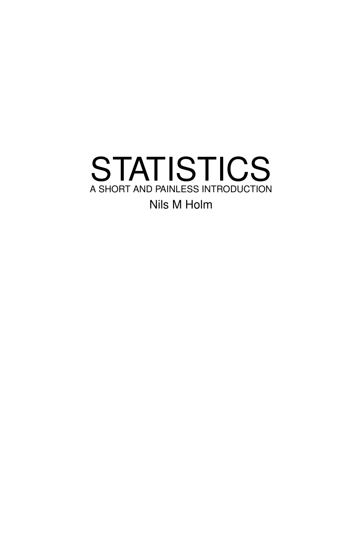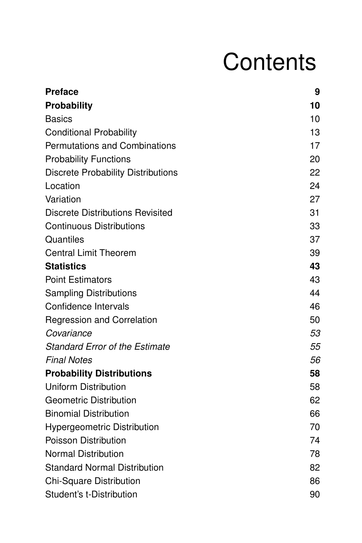# **Contents**

| <b>Preface</b>                            | 9  |
|-------------------------------------------|----|
| <b>Probability</b>                        | 10 |
| <b>Basics</b>                             | 10 |
| <b>Conditional Probability</b>            | 13 |
| <b>Permutations and Combinations</b>      | 17 |
| <b>Probability Functions</b>              | 20 |
| <b>Discrete Probability Distributions</b> | 22 |
| Location                                  | 24 |
| Variation                                 | 27 |
| <b>Discrete Distributions Revisited</b>   | 31 |
| <b>Continuous Distributions</b>           | 33 |
| Quantiles                                 | 37 |
| <b>Central Limit Theorem</b>              | 39 |
| <b>Statistics</b>                         | 43 |
| <b>Point Estimators</b>                   | 43 |
| <b>Sampling Distributions</b>             | 44 |
| Confidence Intervals                      | 46 |
| <b>Regression and Correlation</b>         | 50 |
| Covariance                                | 53 |
| <b>Standard Error of the Estimate</b>     | 55 |
| <b>Final Notes</b>                        | 56 |
| <b>Probability Distributions</b>          | 58 |
| <b>Uniform Distribution</b>               | 58 |
| <b>Geometric Distribution</b>             | 62 |
| <b>Binomial Distribution</b>              | 66 |
| <b>Hypergeometric Distribution</b>        | 70 |
| Poisson Distribution                      | 74 |
| <b>Normal Distribution</b>                | 78 |
| <b>Standard Normal Distribution</b>       | 82 |
| Chi-Square Distribution                   | 86 |
| Student's t-Distribution                  | 90 |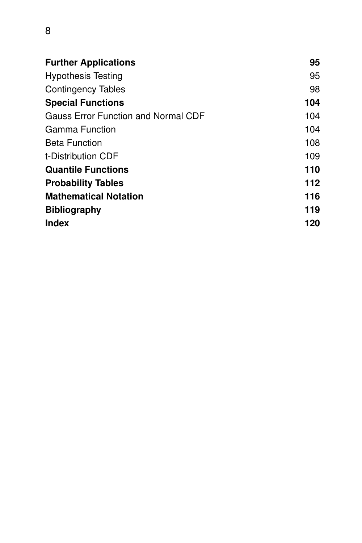| <b>Further Applications</b>                | 95  |
|--------------------------------------------|-----|
| <b>Hypothesis Testing</b>                  | 95  |
| <b>Contingency Tables</b>                  | 98  |
| <b>Special Functions</b>                   | 104 |
| <b>Gauss Error Function and Normal CDF</b> | 104 |
| Gamma Function                             | 104 |
| <b>Beta Function</b>                       | 108 |
| t-Distribution CDF                         | 109 |
| <b>Quantile Functions</b>                  | 110 |
| <b>Probability Tables</b>                  | 112 |
| <b>Mathematical Notation</b>               | 116 |
| <b>Bibliography</b>                        | 119 |
| <b>Index</b>                               | 120 |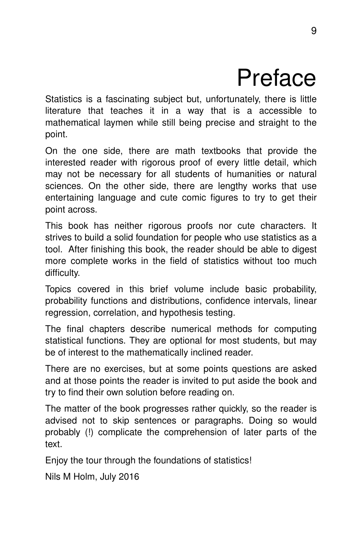## Preface

Statistics is a fascinating subject but, unfortunately, there is little literature that teaches it in a way that is a accessible to mathematical laymen while still being precise and straight to the point.

On the one side, there are math textbooks that provide the interested reader with rigorous proof of every little detail, which may not be necessary for all students of humanities or natural sciences. On the other side, there are lengthy works that use entertaining language and cute comic figures to try to get their point across.

This book has neither rigorous proofs nor cute characters. It strives to build a solid foundation for people who use statistics as a tool. After finishing this book, the reader should be able to digest more complete works in the field of statistics without too much difficulty.

Topics covered in this brief volume include basic probability, probability functions and distributions, confidence intervals, linear regression, correlation, and hypothesis testing.

The final chapters describe numerical methods for computing statistical functions. They are optional for most students, but may be of interest to the mathematically inclined reader.

There are no exercises, but at some points questions are asked and at those points the reader is invited to put aside the book and try to find their own solution before reading on.

The matter of the book progresses rather quickly, so the reader is advised not to skip sentences or paragraphs. Doing so would probably (!) complicate the comprehension of later parts of the text.

Enjoy the tour through the foundations of statistics!

Nils M Holm, July 2016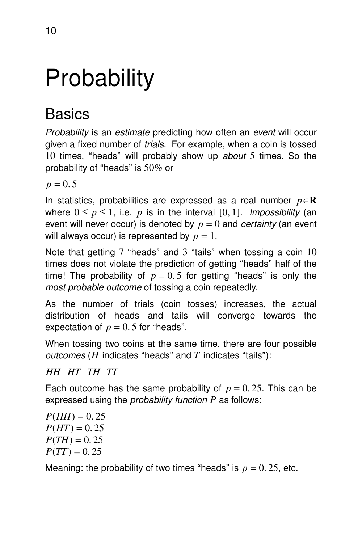# **Probability**

## **Basics**

Probability is an estimate predicting how often an event will occur given a fixed number of trials. For example, when a coin is tossed 10 times, "heads" will probably show up about 5 times. So the probability of "heads" is  $50\%$  or

 $p = 0.5$ 

In statistics, probabilities are expressed as a real number *p*∈**R** where  $0 \le p \le 1$ , i.e. *p* is in the interval [0, 1]. *Impossibility* (an event will never occur) is denoted by  $p = 0$  and *certainty* (an event will always occur) is represented by  $p = 1$ .

Note that getting  $7$  "heads" and  $3$  "tails" when tossing a coin  $10$ times does not violate the prediction of getting ''heads'' half of the time! The probability of  $p = 0.5$  for getting "heads" is only the most probable outcome of tossing a coin repeatedly.

As the number of trials (coin tosses) increases, the actual distribution of heads and tails will converge towards the expectation of  $p = 0.5$  for "heads".

When tossing two coins at the same time, there are four possible outcomes ( $H$  indicates "heads" and  $T$  indicates "tails"):

#### *HH HT TH TT*

Each outcome has the same probability of  $p = 0.25$ . This can be expressed using the probability function *P* as follows:

 $P(HH) = 0.25$  $P(HT) = 0.25$  $P(TH) = 0.25$  $P(TT) = 0.25$ 

Meaning: the probability of two times "heads" is  $p = 0.25$ , etc.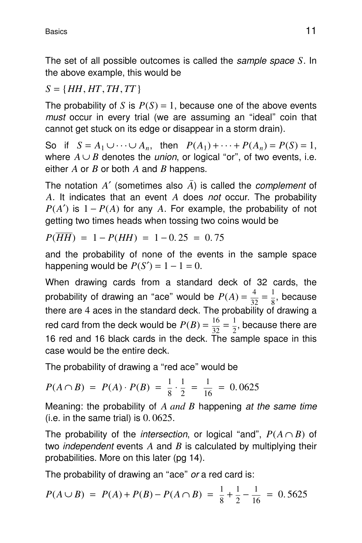The set of all possible outcomes is called the sample space *S*. In the above example, this would be

#### $S = \{HH, HT, TH, TT\}$

The probability of *S* is  $P(S) = 1$ , because one of the above events must occur in every trial (we are assuming an "ideal" coin that cannot get stuck on its edge or disappear in a storm drain).

So if  $S = A_1 \cup \cdots \cup A_n$ , then  $P(A_1) + \cdots + P(A_n) = P(S) = 1$ , where  $A \cup B$  denotes the *union*, or logical "or", of two events, i.e. either *A* or *B* or both *A* and *B* happens.

The notation  $A'$  (sometimes also  $\overline{A}$ ) is called the *complement* of *A*. It indicates that an event *A* does not occur. The probability  $P(A')$  is  $1 - P(A)$  for any *A*. For example, the probability of not getting two times heads when tossing two coins would be

$$
P(\overline{HH}) = 1 - P(HH) = 1 - 0.25 = 0.75
$$

and the probability of none of the events in the sample space happening would be  $P(S') = 1 - 1 = 0$ .

When drawing cards from a standard deck of 32 cards, the probability of drawing an "ace" would be  $P(A) = \frac{4}{3}$  $\frac{4}{32} = \frac{1}{8}$  $\frac{1}{8}$ , because there are 4 aces in the standard deck. The probability of drawing a red card from the deck would be  $P(B) = \frac{16}{22}$  $\frac{16}{32} = \frac{1}{2}$  $\frac{1}{2}$ , because there are 16 red and 16 black cards in the deck. The sample space in this case would be the entire deck.

The probability of drawing a "red ace" would be

$$
P(A \cap B) = P(A) \cdot P(B) = \frac{1}{8} \cdot \frac{1}{2} = \frac{1}{16} = 0.0625
$$

Meaning: the probability of *A and B* happening at the same time (i.e. in the same trial) is  $0.0625$ .

The probability of the *intersection*, or logical "and",  $P(A \cap B)$  of two *independent* events  $A$  and  $B$  is calculated by multiplying their probabilities. More on this later (pg 14).

The probability of drawing an "ace" or a red card is:

$$
P(A \cup B) = P(A) + P(B) - P(A \cap B) = \frac{1}{8} + \frac{1}{2} - \frac{1}{16} = 0.5625
$$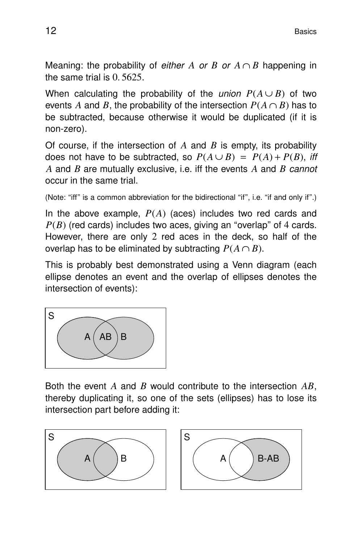Meaning: the probability of *either A or B or*  $A \cap B$  happening in the same trial is 0. 5625.

When calculating the probability of the *union*  $P(A \cup B)$  of two events *A* and *B*, the probability of the intersection  $P(A \cap B)$  has to be subtracted, because otherwise it would be duplicated (if it is non-zero).

Of course, if the intersection of *A* and *B* is empty, its probability does not have to be subtracted, so  $P(A \cup B) = P(A) + P(B)$ , iff *A* and *B* are mutually exclusive, i.e. iff the events *A* and *B* cannot occur in the same trial.

```
(Note: "iff" is a common abbreviation for the bidirectional "if", i.e. "if and only if".)
```
In the above example, *P*(*A*) (aces) includes two red cards and  $P(B)$  (red cards) includes two aces, giving an "overlap" of 4 cards. However, there are only 2 red aces in the deck, so half of the overlap has to be eliminated by subtracting  $P(A \cap B)$ .

This is probably best demonstrated using a Venn diagram (each ellipse denotes an event and the overlap of ellipses denotes the intersection of events):



Both the event *A* and *B* would contribute to the intersection *AB*, thereby duplicating it, so one of the sets (ellipses) has to lose its intersection part before adding it:



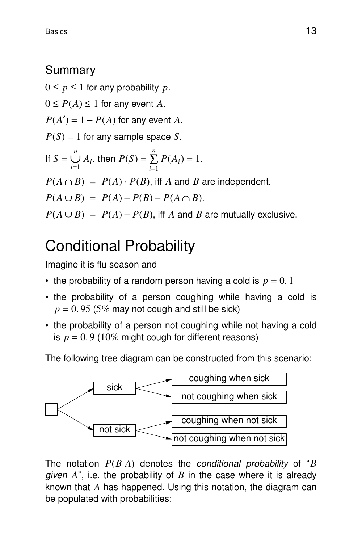## **Summary**

 $0 \leq p \leq 1$  for any probability p.

 $0 \leq P(A) \leq 1$  for any event A.

 $P(A') = 1 - P(A)$  for any event *A*.

 $P(S) = 1$  for any sample space *S*.

If 
$$
S = \bigcup_{i=1}^{n} A_i
$$
, then  $P(S) = \sum_{i=1}^{n} P(A_i) = 1$ .

 $P(A \cap B) = P(A) \cdot P(B)$ , iff *A* and *B* are independent.

 $P(A \cup B) = P(A) + P(B) - P(A \cap B).$ 

 $P(A \cup B) = P(A) + P(B)$ , iff *A* and *B* are mutually exclusive.

## Conditional Probability

Imagine it is flu season and

- the probability of a random person having a cold is  $p = 0.1$
- the probability of a person coughing while having a cold is  $p = 0.95$  (5% may not cough and still be sick)
- the probability of a person not coughing while not having a cold is  $p = 0.9$  (10% might cough for different reasons)

The following tree diagram can be constructed from this scenario:



The notation *P*(*B*|*A*) denotes the conditional probability of ''*B* given *A*'', i.e. the probability of *B* in the case where it is already known that *A* has happened. Using this notation, the diagram can be populated with probabilities: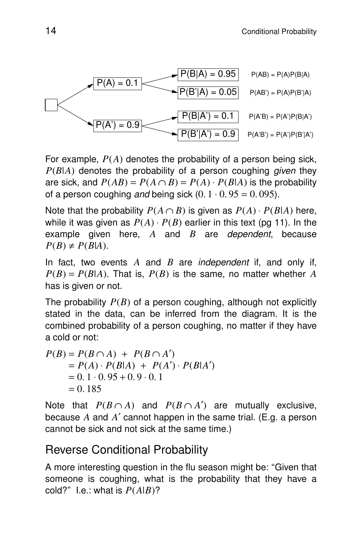

For example, *P*(*A*) denotes the probability of a person being sick,  $P(B|A)$  denotes the probability of a person coughing *given* they are sick, and  $P(AB) = P(A \cap B) = P(A) \cdot P(B|A)$  is the probability of a person coughing and being sick  $(0. 1 \cdot 0.95 = 0.095)$ .

Note that the probability  $P(A \cap B)$  is given as  $P(A) \cdot P(B|A)$  here, while it was given as  $P(A) \cdot P(B)$  earlier in this text (pg 11). In the example given here, *A* and *B* are dependent, because  $P(B) \neq P(B|A)$ .

In fact, two events *A* and *B* are independent if, and only if,  $P(B) = P(B|A)$ . That is,  $P(B)$  is the same, no matter whether *A* has is given or not.

The probability *P*(*B*) of a person coughing, although not explicitly stated in the data, can be inferred from the diagram. It is the combined probability of a person coughing, no matter if they have a cold or not:

$$
P(B) = P(B \cap A) + P(B \cap A')
$$
  
=  $P(A) \cdot P(B|A) + P(A') \cdot P(B|A')$   
= 0.1 \cdot 0.95 + 0.9 \cdot 0.1  
= 0.185

Note that  $P(B \cap A)$  and  $P(B \cap A')$  are mutually exclusive, because *A* and *A*′ cannot happen in the same trial. (E.g. a person cannot be sick and not sick at the same time.)

#### Reverse Conditional Probability

A more interesting question in the flu season might be: ''Given that someone is coughing, what is the probability that they have a cold?" I.e.: what is  $P(A|B)$ ?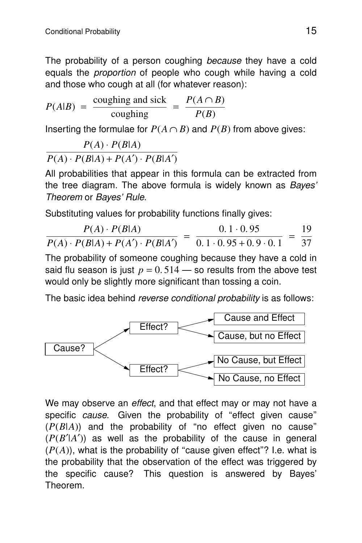The probability of a person coughing because they have a cold equals the *proportion* of people who cough while having a cold and those who cough at all (for whatever reason):

$$
P(A|B) = \frac{\text{coughing and sick}}{\text{coughing}} = \frac{P(A \cap B)}{P(B)}
$$

Inserting the formulae for  $P(A \cap B)$  and  $P(B)$  from above gives:

$$
\frac{P(A) \cdot P(B|A)}{P(A) \cdot P(B|A) + P(A') \cdot P(B|A')}
$$

All probabilities that appear in this formula can be extracted from the tree diagram. The above formula is widely known as Bayes' Theorem or Bayes' Rule.

Substituting values for probability functions finally gives:

$$
\frac{P(A) \cdot P(B|A)}{P(A) \cdot P(B|A) + P(A') \cdot P(B|A')} = \frac{0.1 \cdot 0.95}{0.1 \cdot 0.95 + 0.9 \cdot 0.1} = \frac{19}{37}
$$

The probability of someone coughing because they have a cold in said flu season is just  $p = 0.514$  – so results from the above test would only be slightly more significant than tossing a coin.

The basic idea behind reverse conditional probability is as follows:



We may observe an effect, and that effect may or may not have a specific cause. Given the probability of "effect given cause" (*P*(*B*|*A*)) and the probability of ''no effect given no cause''  $(P(B'|A'))$  as well as the probability of the cause in general  $(P(A))$ , what is the probability of "cause given effect"? I.e. what is the probability that the observation of the effect was triggered by the specific cause? This question is answered by Bayes' Theorem.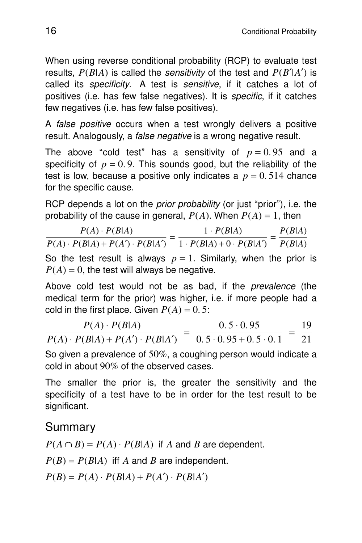When using reverse conditional probability (RCP) to evaluate test results,  $P(B|A)$  is called the *sensitivity* of the test and  $P(B'|A')$  is called its *specificity*. A test is *sensitive*, if it catches a lot of positives (i.e. has few false negatives). It is specific, if it catches few negatives (i.e. has few false positives).

A *false positive* occurs when a test wrongly delivers a positive result. Analogously, a *false negative* is a wrong negative result.

The above "cold test" has a sensitivity of  $p = 0.95$  and a specificity of  $p = 0.9$ . This sounds good, but the reliability of the test is low, because a positive only indicates a  $p = 0.514$  chance for the specific cause.

RCP depends a lot on the *prior probability* (or just "prior"), i.e. the probability of the cause in general,  $P(A)$ . When  $P(A) = 1$ , then

*P*(*A*) ⋅ *P*(*B*|*A*)  $P(A) \cdot P(B|A) = \frac{1 \cdot P(B|A)}{P(A) \cdot P(B|A) + P(A') \cdot P(B|A')} = \frac{1 \cdot P(B|A)}{1 \cdot P(B|A) + 0 \cdot P(B|A)}$  $\frac{1 \cdot P(B|A)}{1 \cdot P(B|A) + 0 \cdot P(B|A')} = \frac{P(B|A)}{P(B|A)}$ *P*(*B*|*A*)

So the test result is always  $p = 1$ . Similarly, when the prior is  $P(A) = 0$ , the test will always be negative.

Above cold test would not be as bad, if the prevalence (the medical term for the prior) was higher, i.e. if more people had a cold in the first place. Given  $P(A) = 0.5$ :

*P*(*A*) ⋅ *P*(*B*|*A*)  $P(A) \cdot P(B|A) + P(A') \cdot P(B|A')$ =  $0.5 \cdot 0.95$  $0.5 \cdot 0.95 + 0.5 \cdot 0.1$ = 19 21

So given a prevalence of  $50\%$ , a coughing person would indicate a cold in about 90% of the observed cases.

The smaller the prior is, the greater the sensitivity and the specificity of a test have to be in order for the test result to be significant.

## **Summary**

 $P(A \cap B) = P(A) \cdot P(B|A)$  if *A* and *B* are dependent.

 $P(B) = P(B|A)$  iff *A* and *B* are independent.

 $P(B) = P(A) \cdot P(B|A) + P(A') \cdot P(B|A')$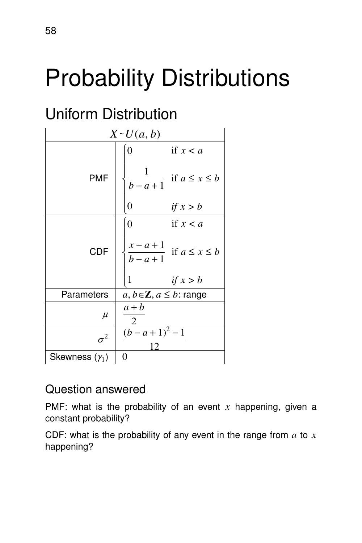# Probability Distributions

## **Uniform Distribution**

| $X \sim U(a, b)$      |                                                           |  |
|-----------------------|-----------------------------------------------------------|--|
|                       | if $x < a$<br>$\overline{0}$                              |  |
| <b>PMF</b>            | $\mathbf 1$<br>if $a \leq x \leq b$<br>$\overline{b-a+1}$ |  |
|                       | 0<br>if $x > b$                                           |  |
|                       | if $x < a$<br>$\overline{0}$                              |  |
| <b>CDF</b>            | $\frac{x-a+1}{b-a+1}$ if $a \le x \le b$                  |  |
|                       | 1<br>if $x > b$                                           |  |
| Parameters            | $a, b \in \mathbb{Z}, a \leq b$ : range                   |  |
| $\mu$                 | $a + b$                                                   |  |
| $\sigma^2$            | $(b-a+1)^2-1$<br>12                                       |  |
| Skewness $(\gamma_1)$ | $\theta$                                                  |  |

## Question answered

PMF: what is the probability of an event *x* happening, given a constant probability?

CDF: what is the probability of any event in the range from *a* to *x* happening?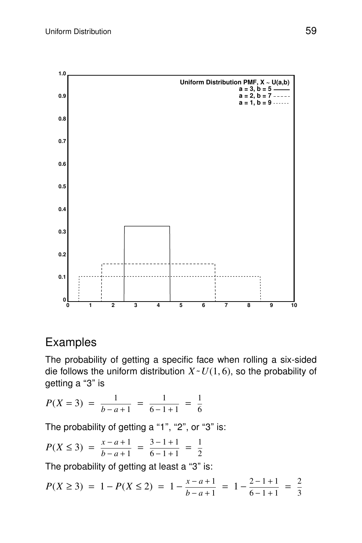

#### Examples

The probability of getting a specific face when rolling a six-sided die follows the uniform distribution  $X \sim U(1, 6)$ , so the probability of getting a "3" is

$$
P(X = 3) = \frac{1}{b - a + 1} = \frac{1}{6 - 1 + 1} = \frac{1}{6}
$$

The probability of getting a "1", "2", or "3" is:

$$
P(X \le 3) = \frac{x - a + 1}{b - a + 1} = \frac{3 - 1 + 1}{6 - 1 + 1} = \frac{1}{2}
$$

The probability of getting at least a "3" is:

$$
P(X \ge 3) = 1 - P(X \le 2) = 1 - \frac{x - a + 1}{b - a + 1} = 1 - \frac{2 - 1 + 1}{6 - 1 + 1} = \frac{2}{3}
$$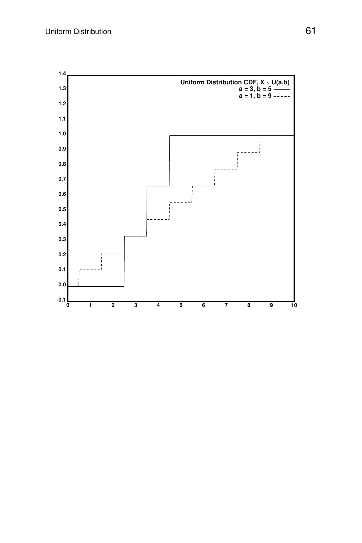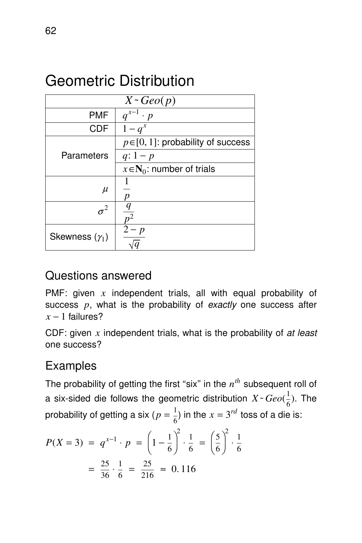## Geometric Distribution

| $X \sim \text{Geo}(p)$ |                                         |
|------------------------|-----------------------------------------|
| <b>PMF</b>             | $q^{x-1} \cdot p$                       |
| <b>CDF</b>             | $1-q^x$                                 |
|                        | $p \in [0, 1]$ : probability of success |
| Parameters             | $q: 1-p$                                |
|                        | $x \in N_0$ : number of trials          |
| $\mu$                  |                                         |
|                        |                                         |
| $\sigma^2$             | $n^2$                                   |
| Skewness $(\gamma_1)$  | - p                                     |

## Questions answered

PMF: given *x* independent trials, all with equal probability of success p, what is the probability of exactly one success after  $x - 1$  failures?

CDF: given *x* independent trials, what is the probability of at least one success?

## Examples

The probability of getting the first "six" in the  $n^{th}$  subsequent roll of a six-sided die follows the geometric distribution  $X \text{~} Geo(\frac{1}{6})$  $\frac{1}{6}$ ). The probability of getting a six ( $p=\frac{1}{6}$  $\frac{1}{6}$ ) in the  $x = 3^{rd}$  toss of a die is:

$$
P(X = 3) = q^{x-1} \cdot p = \left(1 - \frac{1}{6}\right)^2 \cdot \frac{1}{6} = \left(\frac{5}{6}\right)^2 \cdot \frac{1}{6}
$$

$$
= \frac{25}{36} \cdot \frac{1}{6} = \frac{25}{216} \approx 0.116
$$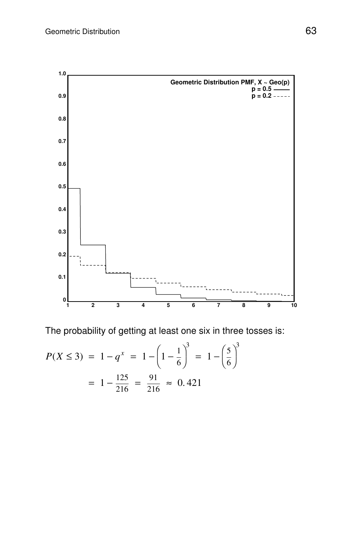

The probability of getting at least one six in three tosses is:

$$
P(X \le 3) = 1 - q^x = 1 - \left(1 - \frac{1}{6}\right)^3 = 1 - \left(\frac{5}{6}\right)^3
$$

$$
= 1 - \frac{125}{216} = \frac{91}{216} \approx 0.421
$$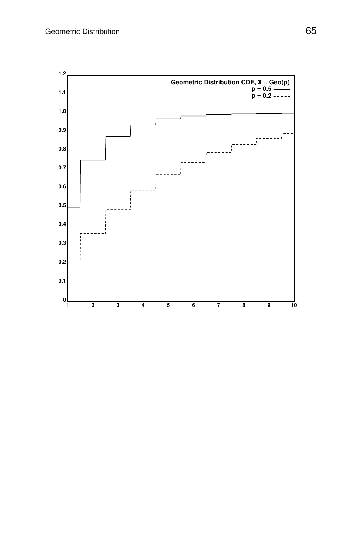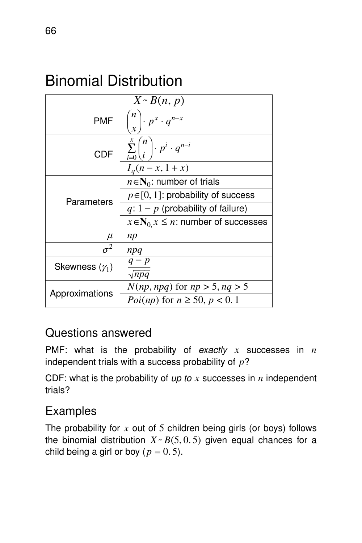## Binomial Distribution

| $X \sim B(n, p)$      |                                                            |  |
|-----------------------|------------------------------------------------------------|--|
| <b>PMF</b>            | $\left(\frac{x}{x}\right)$ $\cdot$ $p^x$ $\cdot$ $q^{n-x}$ |  |
| CDF                   | $\sum_{i=0}^x \binom{n}{i} \cdot p^i \cdot q^{n-i}$        |  |
|                       | $I_a(n - x, 1 + x)$                                        |  |
| Parameters            | $n \in N_0$ : number of trials                             |  |
|                       | $p \in [0, 1]$ : probability of success                    |  |
|                       | $q: 1-p$ (probability of failure)                          |  |
|                       | $x \in N_0$ , $x \leq n$ : number of successes             |  |
| $\mu$                 | np                                                         |  |
| $\sigma^2$            | npq                                                        |  |
| Skewness $(\gamma_1)$ | $q-p$<br>$\sqrt{npq}$                                      |  |
| Approximations        | $N(np, npq)$ for $np > 5$ , $nq > 5$                       |  |
|                       | <i>Poi(np)</i> for $n \ge 50$ , $p < 0.1$                  |  |

#### Questions answered

PMF: what is the probability of exactly *x* successes in *n* independent trials with a success probability of *p*?

CDF: what is the probability of up to *x* successes in *n* independent trials?

## Examples

The probability for *x* out of 5 children being girls (or boys) follows the binomial distribution  $X \sim B(5, 0.5)$  given equal chances for a child being a girl or boy  $(p = 0.5)$ .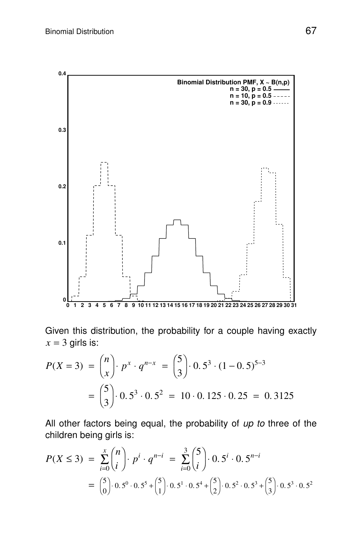

Given this distribution, the probability for a couple having exactly  $x = 3$  girls is:

$$
P(X = 3) = {n \choose x} \cdot p^{x} \cdot q^{n-x} = {5 \choose 3} \cdot 0.5^{3} \cdot (1 - 0.5)^{5-3}
$$
  
=  ${5 \choose 3} \cdot 0.5^{3} \cdot 0.5^{2} = 10 \cdot 0.125 \cdot 0.25 = 0.3125$ 

All other factors being equal, the probability of  $up$  to three of the children being girls is:

$$
P(X \le 3) = \sum_{i=0}^{x} {n \choose i} \cdot p^i \cdot q^{n-i} = \sum_{i=0}^{3} {5 \choose i} \cdot 0.5^i \cdot 0.5^{n-i}
$$
  
=  ${5 \choose 0} \cdot 0.5^0 \cdot 0.5^5 + {5 \choose 1} \cdot 0.5^1 \cdot 0.5^4 + {5 \choose 2} \cdot 0.5^2 \cdot 0.5^3 + {5 \choose 3} \cdot 0.5^3 \cdot 0.5^2$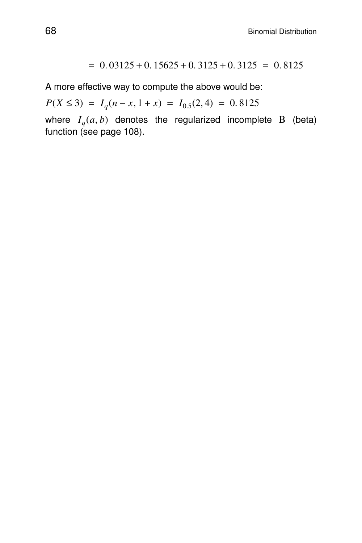$= 0.03125 + 0.15625 + 0.3125 + 0.3125 = 0.8125$ 

A more effective way to compute the above would be:

 $P(X \le 3) = I_q(n-x, 1+x) = I_{0.5}(2, 4) = 0.8125$ 

where *I<sup>q</sup>* (*a*, *b*) denotes the regularized incomplete Β (beta) function (see page 108).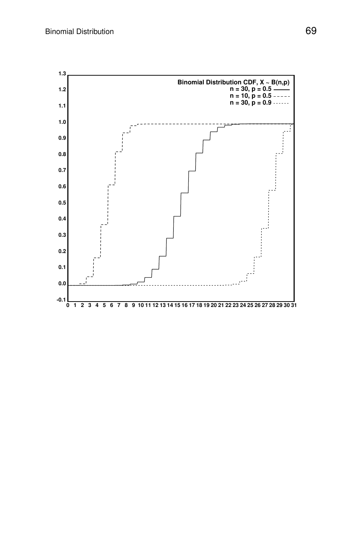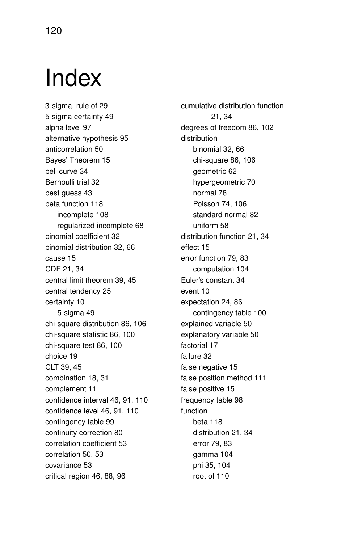## Index

3-sigma, rule of 29 5-sigma certainty 49 alpha level 97 alternative hypothesis 95 anticorrelation 50 Bayes' Theorem 15 bell curve 34 Bernoulli trial 32 best guess 43 beta function 118 incomplete 108 regularized incomplete 68 binomial coefficient 32 binomial distribution 32, 66 cause 15 CDF 21, 34 central limit theorem 39, 45 central tendency 25 certainty 10 5-sigma 49 chi-square distribution 86, 106 chi-square statistic 86, 100 chi-square test 86, 100 choice 19 CLT 39, 45 combination 18, 31 complement 11 confidence interval 46, 91, 110 confidence level 46, 91, 110 contingency table 99 continuity correction 80 correlation coefficient 53 correlation 50, 53 covariance 53 critical region 46, 88, 96

cumulative distribution function 21, 34 degrees of freedom 86, 102 distribution binomial 32, 66 chi-square 86, 106 geometric 62 hypergeometric 70 nor mal 78 Poisson 74, 106 standard normal 82 uniform 58 distribution function 21, 34 effect 15 error function 79, 83 computation 104 Euler's constant 34 event 10 expectation 24, 86 contingency table 100 explained variable 50 explanatory variable 50 factorial 17 failure 32 false negative 15 false position method 111 false positive 15 frequency table 98 function beta 118 distribution 21, 34 error 79, 83 gamma 104 phi 35, 104 root of 110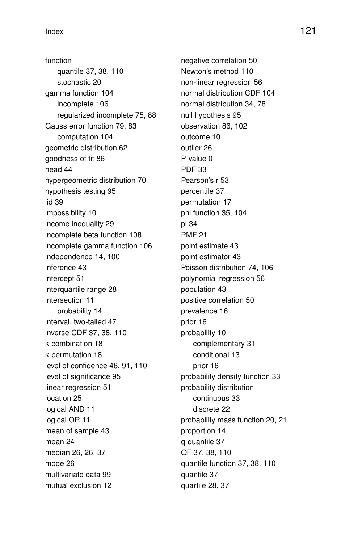function quantile 37, 38, 110 stochastic 20 gamma function 104 incomplete 106 regularized incomplete 75, 88 Gauss error function 79, 83 computation 104 geometric distribution 62 goodness of fit 86 head 44 hypergeometric distribution 70 hypothesis testing 95 iid 39 impossibility 10 income inequality 29 incomplete beta function 108 incomplete gamma function 106 independence 14, 100 inference 43 intercept 51 interquartile range 28 intersection 11 probability 14 interval, two-tailed 47 inverse CDF 37, 38, 110 k-combination 18 k-permutation 18 level of confidence 46, 91, 110 level of significance 95 linear regression 51 location 25 logical AND 11 logical OR 11 mean of sample 43 mean 24 median 26, 26, 37 mode 26 multivariate data 99 mutual exclusion 12

negative correlation 50 Newton's method 110 non-linear regression 56 normal distribution CDF 104 normal distribution 34, 78 null hypothesis 95 obser vation 86, 102 outcome 10 outlier 26 P-value 0 PDF 33 Pearson's r 53 percentile 37 permutation 17 phi function 35, 104 pi 34 PMF 21 point estimate 43 point estimator 43 Poisson distribution 74, 106 polynomial regression 56 population 43 positive correlation 50 prevalence 16 prior 16 probability 10 complementary 31 conditional 13 prior 16 probability density function 33 probability distribution continuous 33 discrete 22 probability mass function 20, 21 proportion 14 q-quantile 37 QF 37, 38, 110 quantile function 37, 38, 110 quantile 37 quartile 28, 37